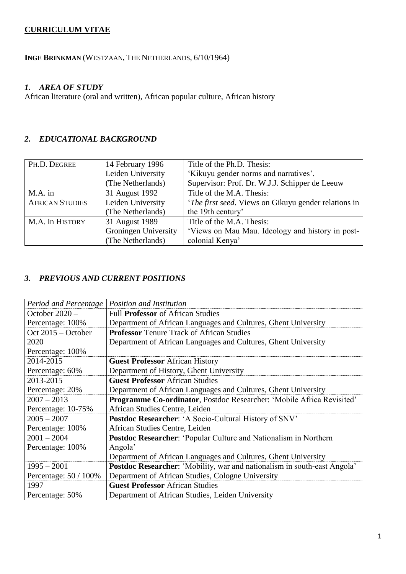## **CURRICULUM VITAE**

**INGE BRINKMAN** (WESTZAAN, THE NETHERLANDS, 6/10/1964)

#### *1. AREA OF STUDY*

African literature (oral and written), African popular culture, African history

### *2. EDUCATIONAL BACKGROUND*

| PH.D. DEGREE           | 14 February 1996     | Title of the Ph.D. Thesis:                                  |  |
|------------------------|----------------------|-------------------------------------------------------------|--|
|                        | Leiden University    | 'Kikuyu gender norms and narratives'.                       |  |
|                        | (The Netherlands)    | Supervisor: Prof. Dr. W.J.J. Schipper de Leeuw              |  |
| $M.A.$ in              | 31 August 1992       | Title of the M.A. Thesis:                                   |  |
| <b>AFRICAN STUDIES</b> | Leiden University    | <i>'The first seed.</i> Views on Gikuyu gender relations in |  |
|                        | (The Netherlands)    | the 19th century'                                           |  |
| M.A. in HISTORY        | 31 August 1989       | Title of the M.A. Thesis:                                   |  |
|                        | Groningen University | 'Views on Mau Mau. Ideology and history in post-            |  |
|                        | (The Netherlands)    | colonial Kenya'                                             |  |

#### *3. PREVIOUS AND CURRENT POSITIONS*

| Period and Percentage  | Position and Institution                                                        |  |  |
|------------------------|---------------------------------------------------------------------------------|--|--|
| October $2020 -$       | <b>Full Professor</b> of African Studies                                        |  |  |
| Percentage: 100%       | Department of African Languages and Cultures, Ghent University                  |  |  |
| Oct 2015 – October     | <b>Professor</b> Tenure Track of African Studies                                |  |  |
| 2020                   | Department of African Languages and Cultures, Ghent University                  |  |  |
| Percentage: 100%       |                                                                                 |  |  |
| 2014-2015              | <b>Guest Professor African History</b>                                          |  |  |
| Percentage: 60%        | Department of History, Ghent University                                         |  |  |
| 2013-2015              | <b>Guest Professor African Studies</b>                                          |  |  |
| Percentage: 20%        | Department of African Languages and Cultures, Ghent University                  |  |  |
| $2007 - 2013$          | Programme Co-ordinator, Postdoc Researcher: 'Mobile Africa Revisited'           |  |  |
| Percentage: 10-75%     | African Studies Centre, Leiden                                                  |  |  |
| $2005 - 2007$          | <b>Postdoc Researcher: 'A Socio-Cultural History of SNV'</b>                    |  |  |
| Percentage: 100%       | African Studies Centre, Leiden                                                  |  |  |
| $2001 - 2004$          | <b>Postdoc Researcher: 'Popular Culture and Nationalism in Northern</b>         |  |  |
| Percentage: 100%       | Angola <sup>'</sup>                                                             |  |  |
|                        | Department of African Languages and Cultures, Ghent University                  |  |  |
| $1995 - 2001$          | <b>Postdoc Researcher:</b> 'Mobility, war and nationalism in south-east Angola' |  |  |
| Percentage: $50/100\%$ | Department of African Studies, Cologne University                               |  |  |
| 1997                   | <b>Guest Professor African Studies</b>                                          |  |  |
| Percentage: 50%        | Department of African Studies, Leiden University                                |  |  |
|                        |                                                                                 |  |  |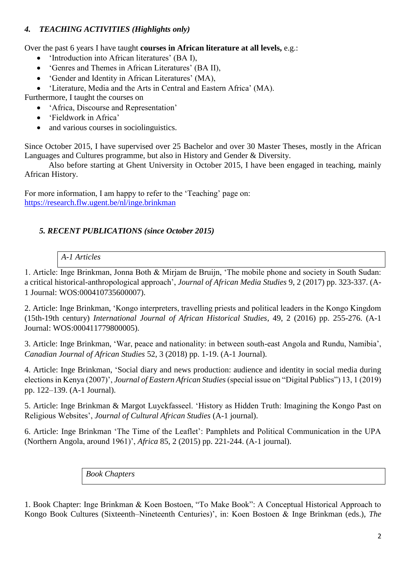## *4. TEACHING ACTIVITIES (Highlights only)*

Over the past 6 years I have taught **courses in African literature at all levels,** e.g.:

- 'Introduction into African literatures' (BA I),
- 'Genres and Themes in African Literatures' (BA II),
- 'Gender and Identity in African Literatures' (MA),
- 'Literature, Media and the Arts in Central and Eastern Africa' (MA).

Furthermore, I taught the courses on

- 'Africa, Discourse and Representation'
- 'Fieldwork in Africa'
- and various courses in sociolinguistics.

Since October 2015, I have supervised over 25 Bachelor and over 30 Master Theses, mostly in the African Languages and Cultures programme, but also in History and Gender & Diversity.

Also before starting at Ghent University in October 2015, I have been engaged in teaching, mainly African History.

For more information, I am happy to refer to the 'Teaching' page on: <https://research.flw.ugent.be/nl/inge.brinkman>

# *5. RECENT PUBLICATIONS (since October 2015)*

### *A-1 Articles*

1. Article: Inge Brinkman, Jonna Both & Mirjam de Bruijn, 'The mobile phone and society in South Sudan: a critical historical-anthropological approach', *Journal of African Media Studies* 9, 2 (2017) pp. 323-337. (A-1 Journal: WOS:000410735600007).

2. Article: Inge Brinkman, 'Kongo interpreters, travelling priests and political leaders in the Kongo Kingdom (15th-19th century) *International Journal of African Historical Studies*, 49, 2 (2016) pp. 255-276. (A-1 Journal: WOS:000411779800005).

3. Article: Inge Brinkman, 'War, peace and nationality: in between south-east Angola and Rundu, Namibia', *Canadian Journal of African Studies* 52, 3 (2018) pp. 1-19. (A-1 Journal).

4. Article: Inge Brinkman, 'Social diary and news production: audience and identity in social media during elections in Kenya (2007)', *Journal of Eastern African Studies* (special issue on "Digital Publics") 13, 1 (2019) pp. 122–139. (A-1 Journal).

5. Article: Inge Brinkman & Margot Luyckfasseel. 'History as Hidden Truth: Imagining the Kongo Past on Religious Websites', *Journal of Cultural African Studies* (A-1 journal).

6. Article: Inge Brinkman 'The Time of the Leaflet': Pamphlets and Political Communication in the UPA (Northern Angola, around 1961)', *Africa* 85, 2 (2015) pp. 221-244. (A-1 journal).

*Book Chapters*

1. Book Chapter: Inge Brinkman & Koen Bostoen, "To Make Book": A Conceptual Historical Approach to Kongo Book Cultures (Sixteenth–Nineteenth Centuries)', in: Koen Bostoen & Inge Brinkman (eds.), *The*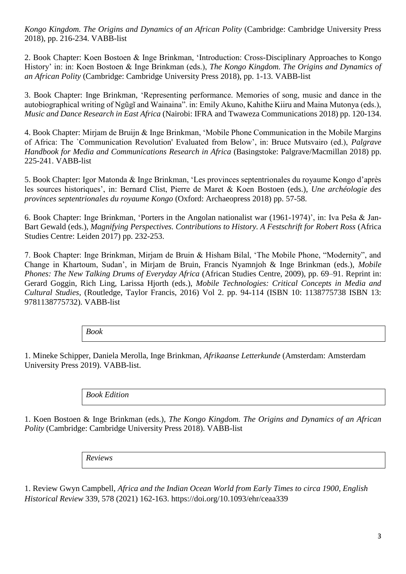*Kongo Kingdom. The Origins and Dynamics of an African Polity* (Cambridge: Cambridge University Press 2018), pp. 216-234. VABB-list

2. Book Chapter: Koen Bostoen & Inge Brinkman, 'Introduction: Cross-Disciplinary Approaches to Kongo History' in: in: Koen Bostoen & Inge Brinkman (eds.), *The Kongo Kingdom. The Origins and Dynamics of an African Polity* (Cambridge: Cambridge University Press 2018), pp. 1-13. VABB-list

3. Book Chapter: Inge Brinkman, 'Representing performance. Memories of song, music and dance in the autobiographical writing of Ngũgĩ and Wainaina". in: Emily Akuno, Kahithe Kiiru and Maina Mutonya (eds.), *Music and Dance Research in East Africa* (Nairobi: IFRA and Twaweza Communications 2018) pp. 120-134.

4. Book Chapter: Mirjam de Bruijn & Inge Brinkman, 'Mobile Phone Communication in the Mobile Margins of Africa: The `Communication Revolution' Evaluated from Below', in: Bruce Mutsvairo (ed.), *Palgrave Handbook for Media and Communications Research in Africa* (Basingstoke: Palgrave/Macmillan 2018) pp. 225-241. VABB-list

5. Book Chapter: Igor Matonda & Inge Brinkman, 'Les provinces septentrionales du royaume Kongo d'après les sources historiques', in: Bernard Clist, Pierre de Maret & Koen Bostoen (eds.), *Une archéologie des provinces septentrionales du royaume Kongo* (Oxford: Archaeopress 2018) pp. 57-58.

6. Book Chapter: Inge Brinkman, 'Porters in the Angolan nationalist war (1961-1974)', in: Iva Peša & Jan-Bart Gewald (eds.), *Magnifying Perspectives. Contributions to History. A Festschrift for Robert Ross* (Africa Studies Centre: Leiden 2017) pp. 232-253.

7. Book Chapter: Inge Brinkman, Mirjam de Bruin & Hisham Bilal, 'The Mobile Phone, "Modernity", and Change in Khartoum, Sudan', in Mirjam de Bruin, Francis Nyamnjoh & Inge Brinkman (eds.), *Mobile Phones: The New Talking Drums of Everyday Africa* (African Studies Centre, 2009), pp. 69–91. Reprint in: Gerard Goggin, Rich Ling, Larissa Hjorth (eds.), *Mobile Technologies: Critical Concepts in Media and Cultural Studies*, (Routledge, Taylor Francis, 2016) Vol 2. pp. 94-114 (ISBN 10: 1138775738 ISBN 13: 9781138775732). VABB-list

*Book*

1. Mineke Schipper, Daniela Merolla, Inge Brinkman, *Afrikaanse Letterkunde* (Amsterdam: Amsterdam University Press 2019). VABB-list.

*Book Edition*

1. Koen Bostoen & Inge Brinkman (eds.), *The Kongo Kingdom. The Origins and Dynamics of an African Polity* (Cambridge: Cambridge University Press 2018). VABB-list

*Reviews*

1. Review Gwyn Campbell, *Africa and the Indian Ocean World from Early Times to circa 1900, English Historical Review* 339, 578 (2021) 162-163. https://doi.org/10.1093/ehr/ceaa339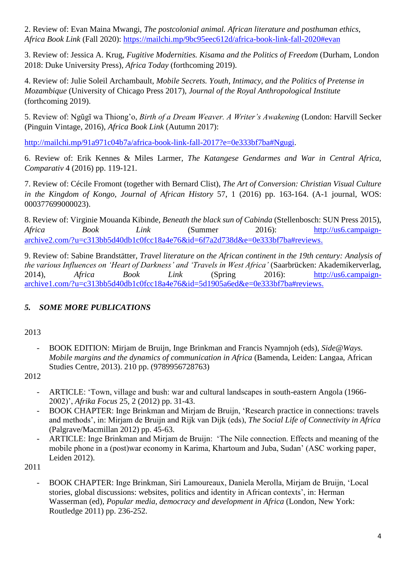2. Review of: Evan Maina Mwangi, *The postcolonial animal. African literature and posthuman ethics, Africa Book Link* (Fall 2020):<https://mailchi.mp/9bc95eec612d/africa-book-link-fall-2020#evan>

3. Review of: Jessica A. Krug, *Fugitive Modernities. Kisama and the Politics of Freedom* (Durham, London 2018: Duke University Press)*, Africa Today* (forthcoming 2019).

4. Review of: Julie Soleil Archambault, *Mobile Secrets. Youth, Intimacy, and the Politics of Pretense in Mozambique* (University of Chicago Press 2017), *Journal of the Royal Anthropological Institute*  (forthcoming 2019).

5. Review of: Ngũgĩ wa Thiong'o, *Birth of a Dream Weaver. A Writer's Awakening* (London: Harvill Secker (Pinguin Vintage, 2016), *Africa Book Link* (Autumn 2017):

[http://mailchi.mp/91a971c04b7a/africa-book-link-fall-2017?e=0e333bf7ba#Ngugi.](http://mailchi.mp/91a971c04b7a/africa-book-link-fall-2017?e=0e333bf7ba#Ngugi)

6. Review of: Erik Kennes & Miles Larmer, *The Katangese Gendarmes and War in Central Africa, Comparativ* 4 (2016) pp. 119-121.

7. Review of: Cécile Fromont (together with Bernard Clist), *The Art of Conversion: Christian Visual Culture in the Kingdom of Kongo, Journal of African History* 57, 1 (2016) pp. 163-164. (A-1 journal, WOS: 000377699000023).

8. Review of: Virginie Mouanda Kibinde, *Beneath the black sun of Cabinda* (Stellenbosch: SUN Press 2015), *Africa Book Link* (Summer 2016): [http://us6.campaign](http://us6.campaign-archive2.com/?u=c313bb5d40db1c0fcc18a4e76&id=6f7a2d738d&e=0e333bf7ba#reviews)[archive2.com/?u=c313bb5d40db1c0fcc18a4e76&id=6f7a2d738d&e=0e333bf7ba#reviews.](http://us6.campaign-archive2.com/?u=c313bb5d40db1c0fcc18a4e76&id=6f7a2d738d&e=0e333bf7ba#reviews)

9. Review of: Sabine Brandstätter, *Travel literature on the African continent in the 19th century: Analysis of the various Influences on 'Heart of Darkness' and 'Travels in West Africa'* (Saarbrücken: Akademikerverlag, 2014), *Africa Book Link* (Spring 2016): [http://us6.campaign](http://us6.campaign-archive1.com/?u=c313bb5d40db1c0fcc18a4e76&id=5d1905a6ed&e=0e333bf7ba#reviews)[archive1.com/?u=c313bb5d40db1c0fcc18a4e76&id=5d1905a6ed&e=0e333bf7ba#reviews.](http://us6.campaign-archive1.com/?u=c313bb5d40db1c0fcc18a4e76&id=5d1905a6ed&e=0e333bf7ba#reviews)

# *5. SOME MORE PUBLICATIONS*

### 2013

- BOOK EDITION: Mirjam de Bruijn, Inge Brinkman and Francis Nyamnjoh (eds), *Side@Ways. Mobile margins and the dynamics of communication in Africa* (Bamenda, Leiden: Langaa, African Studies Centre, 2013). 210 pp. (9789956728763)

2012

- ARTICLE: 'Town, village and bush: war and cultural landscapes in south-eastern Angola (1966- 2002)', *Afrika Focus* 25, 2 (2012) pp. 31-43.
- BOOK CHAPTER: Inge Brinkman and Mirjam de Bruijn, 'Research practice in connections: travels and methods', in: Mirjam de Bruijn and Rijk van Dijk (eds), *The Social Life of Connectivity in Africa* (Palgrave/Macmillan 2012) pp. 45-63.
- ARTICLE: Inge Brinkman and Mirjam de Bruijn: 'The Nile connection. Effects and meaning of the mobile phone in a (post)war economy in Karima, Khartoum and Juba, Sudan' (ASC working paper, Leiden 2012).

2011

- BOOK CHAPTER: Inge Brinkman, Siri Lamoureaux, Daniela Merolla, Mirjam de Bruijn, 'Local stories, global discussions: websites, politics and identity in African contexts', in: Herman Wasserman (ed), *Popular media, democracy and development in Africa* (London, New York: Routledge 2011) pp. 236-252.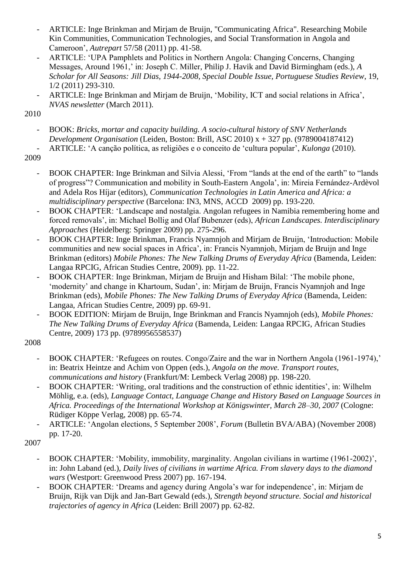- ARTICLE: Inge Brinkman and Mirjam de Bruijn, "Communicating Africa". Researching Mobile Kin Communities, Communication Technologies, and Social Transformation in Angola and Cameroon', *Autrepart* 57/58 (2011) pp. 41-58.
- ARTICLE: 'UPA Pamphlets and Politics in Northern Angola: Changing Concerns, Changing Messages, Around 1961,' in: Joseph C. Miller, Philip J. Havik and David Birmingham (eds.), *A Scholar for All Seasons: Jill Dias, 1944-2008, Special Double Issue, Portuguese Studies Review*, 19, 1/2 (2011) 293-310.
- ARTICLE: Inge Brinkman and Mirjam de Bruijn, 'Mobility, ICT and social relations in Africa', *NVAS newsletter* (March 2011).

2010

- BOOK: *Bricks, mortar and capacity building. A socio-cultural history of SNV Netherlands Development Organisation* (Leiden, Boston: Brill, ASC 2010) x + 327 pp. (9789004187412)
- ARTICLE: 'A canção política, as religiões e o conceito de 'cultura popular', *Kulonga* (2010).

2009

- BOOK CHAPTER: Inge Brinkman and Silvia Alessi, 'From "lands at the end of the earth" to "lands of progress"? Communication and mobility in South-Eastern Angola', in: Mireia Fernández-Ardèvol and Adela Ros Híjar (editors), *Communication Technologies in Latin America and Africa: a multidisciplinary perspective* (Barcelona: IN3, MNS, ACCD 2009) pp. 193-220.
- BOOK CHAPTER: 'Landscape and nostalgia. Angolan refugees in Namibia remembering home and forced removals', in: Michael Bollig and Olaf Bubenzer (eds), *African Landscapes. Interdisciplinary Approaches* (Heidelberg: Springer 2009) pp. 275-296.
- BOOK CHAPTER: Inge Brinkman, Francis Nyamnjoh and Mirjam de Bruijn, 'Introduction: Mobile communities and new social spaces in Africa', in: Francis Nyamnjoh, Mirjam de Bruijn and Inge Brinkman (editors) *Mobile Phones: The New Talking Drums of Everyday Africa* (Bamenda, Leiden: Langaa RPCIG, African Studies Centre, 2009). pp. 11-22.
- BOOK CHAPTER: Inge Brinkman, Mirjam de Bruijn and Hisham Bilal: 'The mobile phone, 'modernity' and change in Khartoum, Sudan', in: Mirjam de Bruijn, Francis Nyamnjoh and Inge Brinkman (eds), *Mobile Phones: The New Talking Drums of Everyday Africa* (Bamenda, Leiden: Langaa, African Studies Centre, 2009) pp. 69-91.
- BOOK EDITION: Mirjam de Bruijn, Inge Brinkman and Francis Nyamnjoh (eds), *Mobile Phones: The New Talking Drums of Everyday Africa* (Bamenda, Leiden: Langaa RPCIG, African Studies Centre, 2009) 173 pp. (9789956558537)

2008

- BOOK CHAPTER: 'Refugees on routes. Congo/Zaire and the war in Northern Angola (1961-1974),' in: Beatrix Heintze and Achim von Oppen (eds.), *Angola on the move. Transport routes, communications and history* (Frankfurt/M: Lembeck Verlag 2008) pp. 198-220.
- BOOK CHAPTER: 'Writing, oral traditions and the construction of ethnic identities', in: Wilhelm Möhlig, e.a. (eds), *Language Contact, Language Change and History Based on Language Sources in Africa. Proceedings of the International Workshop at Königswinter, March 28–30, 2007* (Cologne: Rüdiger Köppe Verlag, 2008) pp. 65-74.
- ARTICLE: 'Angolan elections, 5 September 2008', *Forum* (Bulletin BVA/ABA) (November 2008) pp. 17-20.

2007

- BOOK CHAPTER: 'Mobility, immobility, marginality. Angolan civilians in wartime (1961-2002)', in: John Laband (ed.), *Daily lives of civilians in wartime Africa. From slavery days to the diamond wars* (Westport: Greenwood Press 2007) pp. 167-194.
- BOOK CHAPTER: 'Dreams and agency during Angola's war for independence', in: Mirjam de Bruijn, Rijk van Dijk and Jan-Bart Gewald (eds.), *Strength beyond structure. Social and historical trajectories of agency in Africa* (Leiden: Brill 2007) pp. 62-82.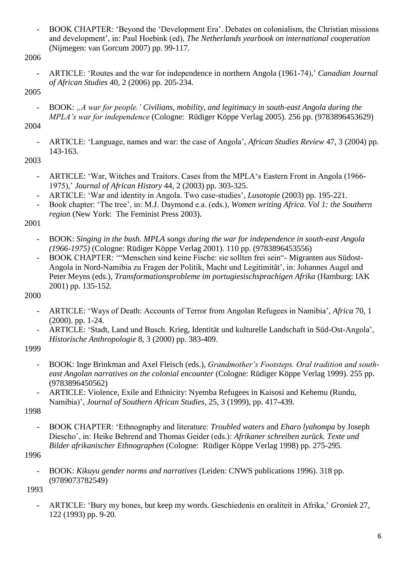- BOOK CHAPTER: 'Beyond the 'Development Era'. Debates on colonialism, the Christian missions and development', in: Paul Hoebink (ed), *The Netherlands yearbook on international cooperation* (Nijmegen: van Gorcum 2007) pp. 99-117.

2006

- ARTICLE: 'Routes and the war for independence in northern Angola (1961-74),' *Canadian Journal of African Studies* 40, 2 (2006) pp. 205-234.

2005

BOOK: "*A war for people.' Civilians, mobility, and legitimacy in south-east Angola during the MPLA's war for independence* (Cologne: Rüdiger Köppe Verlag 2005). 256 pp. (9783896453629)

2004

- ARTICLE: 'Language, names and war: the case of Angola', *African Studies Review* 47, 3 (2004) pp. 143-163.

2003

- ARTICLE: 'War, Witches and Traitors. Cases from the MPLA's Eastern Front in Angola (1966- 1975),' *Journal of African History* 44, 2 (2003) pp. 303-325.
- ARTICLE: 'War and identity in Angola. Two case-studies', *Lusotopie* (2003) pp. 195-221.
- Book chapter: 'The tree', in: M.J. Daymond e.a. (eds.), *Women writing Africa. Vol 1: the Southern region* (New York: The Feminist Press 2003).

2001

- BOOK: *Singing in the bush. MPLA songs during the war for independence in south-east Angola (1966-1975)* (Cologne: Rüdiger Köppe Verlag 2001). 110 pp. (9783896453556)
- BOOK CHAPTER: '"Menschen sind keine Fische: sie sollten frei sein"- Migranten aus Südost-Angola in Nord-Namibia zu Fragen der Politik, Macht und Legitimität', in: Johannes Augel and Peter Meyns (eds.), *Transformationsprobleme im portugiesischsprachigen Afrika* (Hamburg: IAK 2001) pp. 135-152.

2000

- ARTICLE: 'Ways of Death: Accounts of Terror from Angolan Refugees in Namibia', *Africa* 70, 1 (2000). pp. 1-24.
- ARTICLE: 'Stadt, Land und Busch. Krieg, Identität und kulturelle Landschaft in Süd-Ost-Angola', *Historische Anthropologie* 8, 3 (2000) pp. 383-409.

1999

- BOOK: Inge Brinkman and Axel Fleisch (eds.), *Grandmother's Footsteps. Oral tradition and southeast Angolan narratives on the colonial encounter* (Cologne: Rüdiger Köppe Verlag 1999). 255 pp. (9783896450562)
- ARTICLE: Violence, Exile and Ethnicity: Nyemba Refugees in Kaisosi and Kehemu (Rundu, Namibia)', *Journal of Southern African Studies*, 25, 3 (1999), pp. 417-439.

1998

- BOOK CHAPTER: 'Ethnography and literature: *Troubled waters* and *Eharo lyahompa* by Joseph Diescho', in: Heike Behrend and Thomas Geider (eds.): *Afrikaner schreiben zurück. Texte und Bilder afrikanischer Ethnographen* (Cologne: Rüdiger Köppe Verlag 1998) pp. 275-295.

1996

- BOOK: *Kikuyu gender norms and narratives* (Leiden: CNWS publications 1996). 318 pp. (9789073782549)

1993

- ARTICLE: 'Bury my bones, but keep my words. Geschiedenis en oraliteit in Afrika,' *Groniek* 27, 122 (1993) pp. 9-20.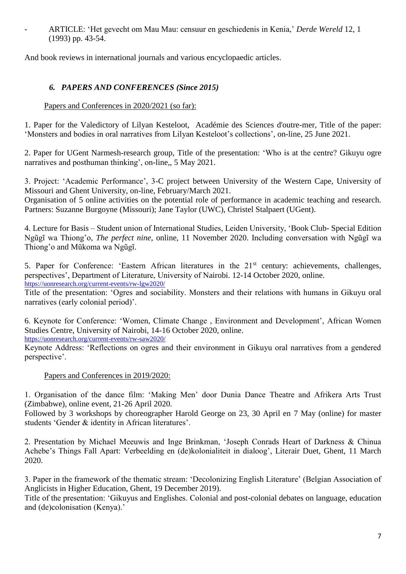- ARTICLE: 'Het gevecht om Mau Mau: censuur en geschiedenis in Kenia,' *Derde Wereld* 12, 1 (1993) pp. 43-54.

And book reviews in international journals and various encyclopaedic articles.

## *6. PAPERS AND CONFERENCES (Since 2015)*

#### Papers and Conferences in 2020/2021 (so far):

1. Paper for the Valedictory of Lilyan Kesteloot, Académie des Sciences d'outre-mer, Title of the paper: 'Monsters and bodies in oral narratives from Lilyan Kesteloot's collections', on-line, 25 June 2021.

2. Paper for UGent Narmesh-research group, Title of the presentation: 'Who is at the centre? Gikuyu ogre narratives and posthuman thinking', on-line,, 5 May 2021.

3. Project: 'Academic Performance', 3-C project between University of the Western Cape, University of Missouri and Ghent University, on-line, February/March 2021.

Organisation of 5 online activities on the potential role of performance in academic teaching and research. Partners: Suzanne Burgoyne (Missouri); Jane Taylor (UWC), Christel Stalpaert (UGent).

4. Lecture for Basis – Student union of International Studies, Leiden University, 'Book Club- Special Edition Ngũgĩ wa Thiong'o, *The perfect nine*, online, 11 November 2020. Including conversation with Ngũgĩ wa Thiong'o and Mũkoma wa Ngũgĩ.

5. Paper for Conference: 'Eastern African literatures in the 21<sup>st</sup> century: achievements, challenges, perspectives', Department of Literature, University of Nairobi. 12-14 October 2020, online. <https://uonresearch.org/current-events/rw-lgw2020/>

Title of the presentation: 'Ogres and sociability. Monsters and their relations with humans in Gikuyu oral narratives (early colonial period)'.

6. Keynote for Conference: 'Women, Climate Change , Environment and Development', African Women Studies Centre, University of Nairobi, 14-16 October 2020, online.

<https://uonresearch.org/current-events/rw-saw2020/>

Keynote Address: 'Reflections on ogres and their environment in Gikuyu oral narratives from a gendered perspective'.

#### Papers and Conferences in 2019/2020:

1. Organisation of the dance film: 'Making Men' door Dunia Dance Theatre and Afrikera Arts Trust (Zimbabwe), online event, 21-26 April 2020.

Followed by 3 workshops by choreographer Harold George on 23, 30 April en 7 May (online) for master students 'Gender & identity in African literatures'.

2. Presentation by Michael Meeuwis and Inge Brinkman, 'Joseph Conrads Heart of Darkness & Chinua Achebe's Things Fall Apart: Verbeelding en (de)kolonialiteit in dialoog', Literair Duet, Ghent, 11 March 2020.

3. Paper in the framework of the thematic stream: 'Decolonizing English Literature' (Belgian Association of Anglicists in Higher Education, Ghent, 19 December 2019).

Title of the presentation: 'Gikuyus and Englishes. Colonial and post-colonial debates on language, education and (de)colonisation (Kenya).'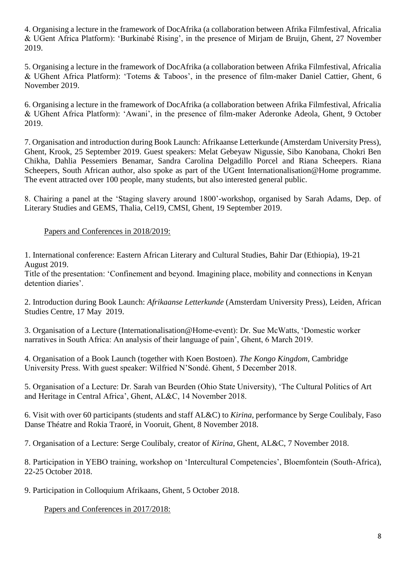4. Organising a lecture in the framework of DocAfrika (a collaboration between Afrika Filmfestival, Africalia & UGent Africa Platform): 'Burkinabé Rising', in the presence of Mirjam de Bruijn, Ghent, 27 November 2019.

5. Organising a lecture in the framework of DocAfrika (a collaboration between Afrika Filmfestival, Africalia & UGhent Africa Platform): 'Totems & Taboos', in the presence of film-maker Daniel Cattier, Ghent, 6 November 2019.

6. Organising a lecture in the framework of DocAfrika (a collaboration between Afrika Filmfestival, Africalia & UGhent Africa Platform): 'Awani', in the presence of film-maker Aderonke Adeola, Ghent, 9 October 2019.

7. Organisation and introduction during Book Launch: Afrikaanse Letterkunde (Amsterdam University Press), Ghent, Krook, 25 September 2019. Guest speakers: Melat Gebeyaw Nigussie, Sibo Kanobana, Chokri Ben Chikha, Dahlia Pessemiers Benamar, Sandra Carolina Delgadillo Porcel and Riana Scheepers. Riana Scheepers, South African author, also spoke as part of the UGent Internationalisation@Home programme. The event attracted over 100 people, many students, but also interested general public.

8. Chairing a panel at the 'Staging slavery around 1800'-workshop, organised by Sarah Adams, Dep. of Literary Studies and GEMS, Thalia, Cel19, CMSI, Ghent, 19 September 2019.

Papers and Conferences in 2018/2019:

1. International conference: Eastern African Literary and Cultural Studies, Bahir Dar (Ethiopia), 19-21 August 2019.

Title of the presentation: 'Confinement and beyond. Imagining place, mobility and connections in Kenyan detention diaries'.

2. Introduction during Book Launch: *Afrikaanse Letterkunde* (Amsterdam University Press), Leiden, African Studies Centre, 17 May 2019.

3. Organisation of a Lecture (Internationalisation@Home-event): Dr. Sue McWatts, 'Domestic worker narratives in South Africa: An analysis of their language of pain', Ghent, 6 March 2019.

4. Organisation of a Book Launch (together with Koen Bostoen). *The Kongo Kingdom*, Cambridge University Press. With guest speaker: Wilfried N'Sondé. Ghent, 5 December 2018.

5. Organisation of a Lecture: Dr. Sarah van Beurden (Ohio State University), 'The Cultural Politics of Art and Heritage in Central Africa', Ghent, AL&C, 14 November 2018.

6. Visit with over 60 participants (students and staff AL&C) to *Kirina*, performance by Serge Coulibaly, Faso Danse Théatre and Rokia Traoré, in Vooruit, Ghent, 8 November 2018.

7. Organisation of a Lecture: Serge Coulibaly, creator of *Kirina*, Ghent, AL&C, 7 November 2018.

8. Participation in YEBO training, workshop on 'Intercultural Competencies', Bloemfontein (South-Africa), 22-25 October 2018.

9. Participation in Colloquium Afrikaans, Ghent, 5 October 2018.

Papers and Conferences in 2017/2018: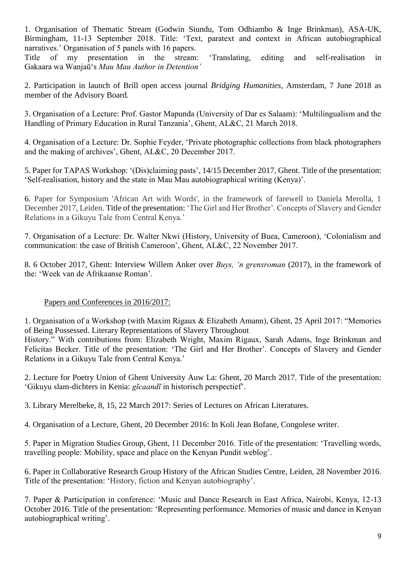1. Organisation of Thematic Stream (Godwin Siundu, Tom Odhiambo & Inge Brinkman), ASA-UK, Birmingham, 11-13 September 2018. Title: 'Text, paratext and context in African autobiographical narratives.' Organisation of 5 panels with 16 papers.

Title of my presentation in the stream: 'Translating, editing and self-realisation in Gakaara wa Wanjaũ's *Mau Mau Author in Detention'*

2. Participation in launch of Brill open access journal *Bridging Humanities*, Amsterdam, 7 June 2018 as member of the Advisory Board.

3. Organisation of a Lecture: Prof. Gastor Mapunda (University of Dar es Salaam): 'Multilingualism and the Handling of Primary Education in Rural Tanzania', Ghent, AL&C, 21 March 2018.

4. Organisation of a Lecture: Dr. Sophie Feyder, 'Private photographic collections from black photographers and the making of archives', Ghent, AL&C, 20 December 2017.

5. Paper for TAPAS Workshop: '(Dis)claiming pasts', 14/15 December 2017, Ghent. Title of the presentation: 'Self-realisation, history and the state in Mau Mau autobiographical writing (Kenya)'.

6. Paper for Symposium 'African Art with Words', in the framework of farewell to Daniela Merolla, 1 December 2017, Leiden. Title of the presentation: 'The Girl and Her Brother'. Concepts of Slavery and Gender Relations in a Gikuyu Tale from Central Kenya.'

7. Organisation of a Lecture: Dr. Walter Nkwi (History, University of Buea, Cameroon), 'Colonialism and communication: the case of British Cameroon', Ghent, AL&C, 22 November 2017.

8. 6 October 2017, Ghent: Interview Willem Anker over *Buys, 'n grensroman* (2017), in the framework of the: 'Week van de Afrikaanse Roman'.

#### Papers and Conferences in 2016/2017:

1. Organisation of a Workshop (with Maxim Rigaux & Elizabeth Amann), Ghent, 25 April 2017: "Memories of Being Possessed. Literary Representations of Slavery Throughout

History." With contributions from: Elizabeth Wright, Maxim Rigaux, Sarah Adams, Inge Brinkman and Felicitas Becker. Title of the presentation: 'The Girl and Her Brother'. Concepts of Slavery and Gender Relations in a Gikuyu Tale from Central Kenya.'

2. Lecture for Poetry Union of Ghent University Auw La: Ghent, 20 March 2017. Title of the presentation: 'Gikuyu slam-dichters in Kenia: *gĩcaandĩ* in historisch perspectief'.

3. Library Merelbeke, 8, 15, 22 March 2017: Series of Lectures on African Literatures.

4. Organisation of a Lecture, Ghent, 20 December 2016: In Koli Jean Bofane, Congolese writer.

5. Paper in Migration Studies Group, Ghent, 11 December 2016. Title of the presentation: 'Travelling words, travelling people: Mobility, space and place on the Kenyan Pundit weblog'.

6. Paper in Collaborative Research Group History of the African Studies Centre, Leiden, 28 November 2016. Title of the presentation: 'History, fiction and Kenyan autobiography'.

7. Paper & Participation in conference: 'Music and Dance Research in East Africa, Nairobi, Kenya, 12-13 October 2016. Title of the presentation: 'Representing performance. Memories of music and dance in Kenyan autobiographical writing'.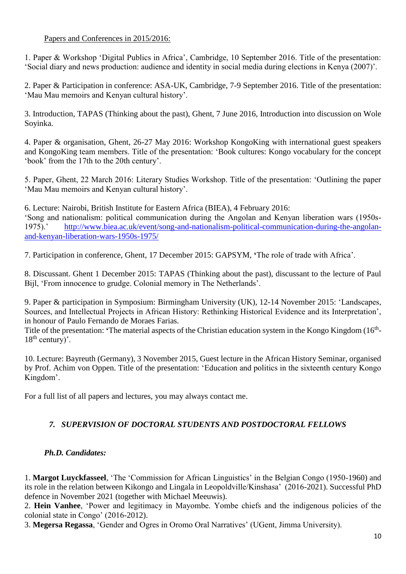#### Papers and Conferences in 2015/2016:

1. Paper & Workshop 'Digital Publics in Africa', Cambridge, 10 September 2016. Title of the presentation: 'Social diary and news production: audience and identity in social media during elections in Kenya (2007)'.

2. Paper & Participation in conference: ASA-UK, Cambridge, 7-9 September 2016. Title of the presentation: 'Mau Mau memoirs and Kenyan cultural history'.

3. Introduction, TAPAS (Thinking about the past), Ghent, 7 June 2016, Introduction into discussion on Wole Soyinka.

4. Paper & organisation, Ghent, 26-27 May 2016: Workshop KongoKing with international guest speakers and KongoKing team members. Title of the presentation: 'Book cultures: Kongo vocabulary for the concept 'book' from the 17th to the 20th century'.

5. Paper, Ghent, 22 March 2016: Literary Studies Workshop. Title of the presentation: 'Outlining the paper 'Mau Mau memoirs and Kenyan cultural history'.

6. Lecture: Nairobi, British Institute for Eastern Africa (BIEA), 4 February 2016: 'Song and nationalism: political communication during the Angolan and Kenyan liberation wars (1950s-1975).' [http://www.biea.ac.uk/event/song-and-nationalism-political-communication-during-the-angolan](http://www.biea.ac.uk/event/song-and-nationalism-political-communication-during-the-angolan-and-kenyan-liberation-wars-1950s-1975/)[and-kenyan-liberation-wars-1950s-1975/](http://www.biea.ac.uk/event/song-and-nationalism-political-communication-during-the-angolan-and-kenyan-liberation-wars-1950s-1975/)

7. Participation in conference, Ghent, 17 December 2015: GAPSYM, **'**The role of trade with Africa'.

8. Discussant. Ghent 1 December 2015: TAPAS (Thinking about the past), discussant to the lecture of Paul Bijl, 'From innocence to grudge. Colonial memory in The Netherlands'.

9. Paper & participation in Symposium: Birmingham University (UK), 12-14 November 2015: 'Landscapes, Sources, and Intellectual Projects in African History: Rethinking Historical Evidence and its Interpretation', in honour of Paulo Fernando de Moraes Farias.

Title of the presentation: 'The material aspects of the Christian education system in the Kongo Kingdom (16<sup>th</sup>- $18<sup>th</sup>$  century)'.

10. Lecture: Bayreuth (Germany), 3 November 2015, Guest lecture in the African History Seminar, organised by Prof. Achim von Oppen. Title of the presentation: 'Education and politics in the sixteenth century Kongo Kingdom'.

For a full list of all papers and lectures, you may always contact me.

# *7. SUPERVISION OF DOCTORAL STUDENTS AND POSTDOCTORAL FELLOWS*

### *Ph.D. Candidates:*

1. **Margot Luyckfasseel**, 'The 'Commission for African Linguistics' in the Belgian Congo (1950-1960) and its role in the relation between Kikongo and Lingala in Leopoldville/Kinshasa' (2016-2021). Successful PhD defence in November 2021 (together with Michael Meeuwis).

2. **Hein Vanhee**, 'Power and legitimacy in Mayombe. Yombe chiefs and the indigenous policies of the colonial state in Congo' (2016-2012).

3. **Megersa Regassa**, 'Gender and Ogres in Oromo Oral Narratives' (UGent, Jimma University).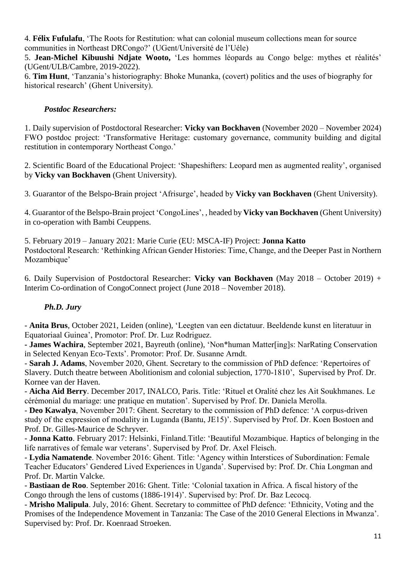4. **Félix Fufulafu**, 'The Roots for Restitution: what can colonial museum collections mean for source communities in Northeast DRCongo?' (UGent/Université de l'Uéle)

5. **Jean-Michel Kibuushi Ndjate Wooto,** 'Les hommes léopards au Congo belge: mythes et réalités' (UGent/ULB/Cambre, 2019-2022).

6. **Tim Hunt**, 'Tanzania's historiography: Bhoke Munanka, (covert) politics and the uses of biography for historical research' (Ghent University).

## *Postdoc Researchers:*

1. Daily supervision of Postdoctoral Researcher: **Vicky van Bockhaven** (November 2020 – November 2024) FWO postdoc project: 'Transformative Heritage: customary governance, community building and digital restitution in contemporary Northeast Congo.'

2. Scientific Board of the Educational Project: 'Shapeshifters: Leopard men as augmented reality', organised by **Vicky van Bockhaven** (Ghent University).

3. Guarantor of the Belspo-Brain project 'Afrisurge', headed by **Vicky van Bockhaven** (Ghent University).

4. Guarantor of the Belspo-Brain project 'CongoLines', , headed by **Vicky van Bockhaven** (Ghent University) in co-operation with Bambi Ceuppens.

5. February 2019 – January 2021: Marie Curie (EU: MSCA-IF) Project: **Jonna Katto** Postdoctoral Research: 'Rethinking African Gender Histories: Time, Change, and the Deeper Past in Northern Mozambique'

6. Daily Supervision of Postdoctoral Researcher: **Vicky van Bockhaven** (May 2018 – October 2019) + Interim Co-ordination of CongoConnect project (June 2018 – November 2018).

### *Ph.D. Jury*

- **Anita Brus**, October 2021, Leiden (online), 'Leegten van een dictatuur. Beeldende kunst en literatuur in Equatoriaal Guinea', Promotor: Prof. Dr. Luz Rodriguez.

**- James Wachira**, September 2021, Bayreuth (online), 'Non\*human Matter[ing]s: NarRating Conservation in Selected Kenyan Eco-Texts'. Promotor: Prof. Dr. Susanne Arndt.

- **Sarah J. Adams**, November 2020, Ghent. Secretary to the commission of PhD defence: 'Repertoires of Slavery. Dutch theatre between Abolitionism and colonial subjection, 1770-1810', Supervised by Prof. Dr. Kornee van der Haven.

- **Aicha Aid Berry**. December 2017, INALCO, Paris. Title: 'Rituel et Oralité chez les Ait Soukhmanes. Le cérémonial du mariage: une pratique en mutation'. Supervised by Prof. Dr. Daniela Merolla.

- **Deo Kawalya**, November 2017: Ghent. Secretary to the commission of PhD defence: 'A corpus-driven study of the expression of modality in Luganda (Bantu, JE15)'. Supervised by Prof. Dr. Koen Bostoen and Prof. Dr. Gilles-Maurice de Schryver.

- **Jonna Katto**. February 2017: Helsinki, Finland.Title: 'Beautiful Mozambique. Haptics of belonging in the life narratives of female war veterans'. Supervised by Prof. Dr. Axel Fleisch.

- **Lydia Namatende**. November 2016: Ghent. Title: 'Agency within Interstices of Subordination: Female Teacher Educators' Gendered Lived Experiences in Uganda'. Supervised by: Prof. Dr. Chia Longman and Prof. Dr. Martin Valcke.

- **Bastiaan de Roo**. September 2016: Ghent. Title: 'Colonial taxation in Africa. A fiscal history of the Congo through the lens of customs (1886-1914)'. Supervised by: Prof. Dr. Baz Lecocq.

- **Mrisho Malipula**. July, 2016: Ghent. Secretary to committee of PhD defence: 'Ethnicity, Voting and the Promises of the Independence Movement in Tanzania: The Case of the 2010 General Elections in Mwanza'. Supervised by: Prof. Dr. Koenraad Stroeken.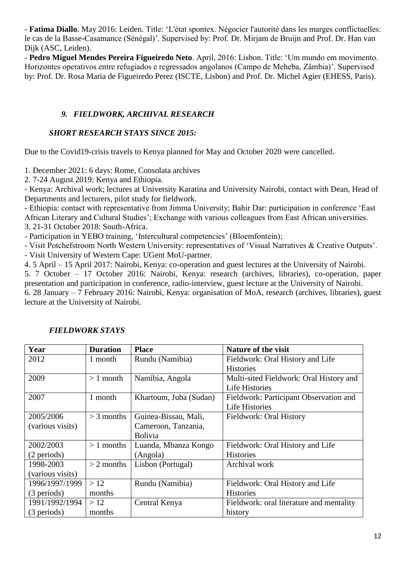- **Fatima Diallo**. May 2016: Leiden. Title: 'L'état spontex. Négocier l'autorité dans les marges conflictuelles: le cas de la Basse-Casamance (Sénégal)'. Supervised by: Prof. Dr. Mirjam de Bruijn and Prof. Dr. Han van Dijk (ASC, Leiden).

- **Pedro Miguel Mendes Pereira Figueiredo Neto**. April, 2016: Lisbon. Title: 'Um mundo em movimento. Horizontes operativos entre refugiados e regressados angolanos (Campo de Meheba, Zâmbia)'. Supervised by: Prof. Dr. Rosa Maria de Figueiredo Perez (ISCTE, Lisbon) and Prof. Dr. Michel Agier (EHESS, Paris).

## *9. FIELDWORK, ARCHIVAL RESEARCH*

### *SHORT RESEARCH STAYS SINCE 2015:*

Due to the Covid19-crisis travels to Kenya planned for May and October 2020 were cancelled.

1. December 2021: 6 days: Rome, Consolata archives

2. 7-24 August 2019: Kenya and Ethiopia.

- Kenya: Archival work; lectures at University Karatina and University Nairobi, contact with Dean, Head of Departments and lecturers, pilot study for fieldwork.

- Ethiopia: contact with representative from Jimma University; Bahir Dar: participation in conference 'East African Literary and Cultural Studies'; Exchange with various colleagues from East African universities. 3. 21-31 October 2018: South-Africa.

- Participation in YEBO training, 'Intercultural competencies' (Bloemfontein);

- Visit Potchefstroom North Western University: representatives of 'Visual Narratives & Creative Outputs'. - Visit University of Western Cape: UGent MoU-partner.

4. 5 April – 15 April 2017: Nairobi, Kenya: co-operation and guest lectures at the University of Nairobi.

5. 7 October – 17 October 2016: Nairobi, Kenya: research (archives, libraries), co-operation, paper presentation and participation in conference, radio-interview, guest lecture at the University of Nairobi.

6. 28 January – 7 February 2016: Nairobi, Kenya: organisation of MoA, research (archives, libraries), guest lecture at the University of Nairobi.

| Year             | <b>Duration</b> | <b>Place</b>           | Nature of the visit                      |
|------------------|-----------------|------------------------|------------------------------------------|
| 2012             | 1 month         | Rundu (Namibia)        | Fieldwork: Oral History and Life         |
|                  |                 |                        | <b>Histories</b>                         |
| 2009             | $>1$ month      | Namibia, Angola        | Multi-sited Fieldwork: Oral History and  |
|                  |                 |                        | <b>Life Histories</b>                    |
| 2007             | 1 month         | Khartoum, Juba (Sudan) | Fieldwork: Participant Observation and   |
|                  |                 |                        | <b>Life Histories</b>                    |
| 2005/2006        | $>$ 3 months    | Guinea-Bissau, Mali,   | Fieldwork: Oral History                  |
| (various visits) |                 | Cameroon, Tanzania,    |                                          |
|                  |                 | <b>Bolivia</b>         |                                          |
| 2002/2003        | $>1$ months     | Luanda, Mbanza Kongo   | Fieldwork: Oral History and Life         |
| (2 periods)      |                 | (Angola)               | <b>Histories</b>                         |
| 1998-2003        | $> 2$ months    | Lisbon (Portugal)      | Archival work                            |
| (various visits) |                 |                        |                                          |
| 1996/1997/1999   | >12             | Rundu (Namibia)        | Fieldwork: Oral History and Life         |
| (3 periods)      | months          |                        | <b>Histories</b>                         |
| 1991/1992/1994   | >12             | Central Kenya          | Fieldwork: oral literature and mentality |
| (3 periods)      | months          |                        | history                                  |

### *FIELDWORK STAYS*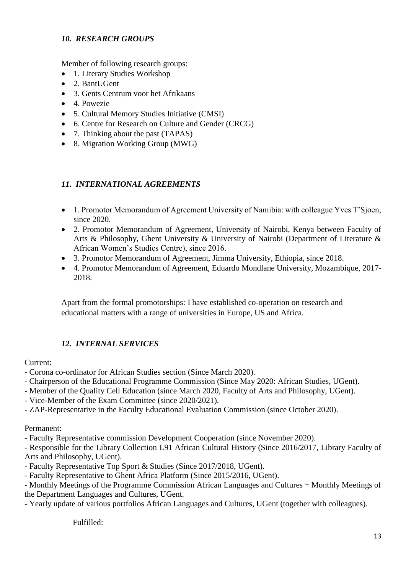#### *10. RESEARCH GROUPS*

Member of following research groups:

- 1. Literary Studies Workshop
- 2. BantUGent
- 3. Gents Centrum voor het Afrikaans
- 4. Powezie
- 5. Cultural Memory Studies Initiative (CMSI)
- 6. Centre for Research on Culture and Gender (CRCG)
- 7. Thinking about the past (TAPAS)
- 8. Migration Working Group (MWG)

#### *11. INTERNATIONAL AGREEMENTS*

- 1. Promotor Memorandum of Agreement University of Namibia: with colleague Yves T'Sjoen, since 2020.
- 2. Promotor Memorandum of Agreement, University of Nairobi, Kenya between Faculty of Arts & Philosophy, Ghent University & University of Nairobi (Department of Literature & African Women's Studies Centre), since 2016.
- 3. Promotor Memorandum of Agreement, Jimma University, Ethiopia, since 2018.
- 4. Promotor Memorandum of Agreement, Eduardo Mondlane University, Mozambique, 2017- 2018.

Apart from the formal promotorships: I have established co-operation on research and educational matters with a range of universities in Europe, US and Africa.

### *12. INTERNAL SERVICES*

#### Current:

- Corona co-ordinator for African Studies section (Since March 2020).
- Chairperson of the Educational Programme Commission (Since May 2020: African Studies, UGent).
- Member of the Quality Cell Education (since March 2020, Faculty of Arts and Philosophy, UGent).
- Vice-Member of the Exam Committee (since 2020/2021).
- ZAP-Representative in the Faculty Educational Evaluation Commission (since October 2020).

Permanent:

- Faculty Representative commission Development Cooperation (since November 2020).

- Responsible for the Library Collection L91 African Cultural History (Since 2016/2017, Library Faculty of Arts and Philosophy, UGent).

- Faculty Representative Top Sport & Studies (Since 2017/2018, UGent).

- Faculty Representative to Ghent Africa Platform (Since 2015/2016, UGent).

- Monthly Meetings of the Programme Commission African Languages and Cultures + Monthly Meetings of the Department Languages and Cultures, UGent.

- Yearly update of various portfolios African Languages and Cultures, UGent (together with colleagues).

Fulfilled: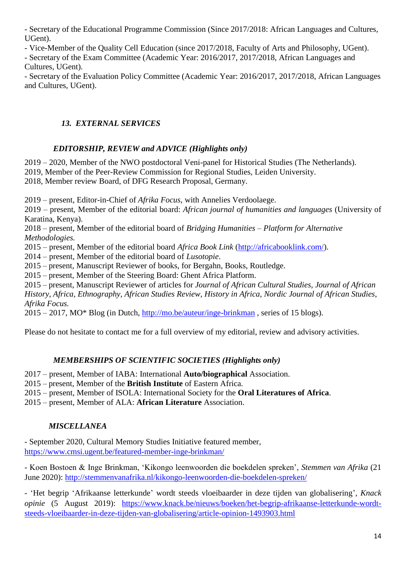- Secretary of the Educational Programme Commission (Since 2017/2018: African Languages and Cultures, UGent).

- Vice-Member of the Quality Cell Education (since 2017/2018, Faculty of Arts and Philosophy, UGent). - Secretary of the Exam Committee (Academic Year: 2016/2017, 2017/2018, African Languages and Cultures, UGent).

- Secretary of the Evaluation Policy Committee (Academic Year: 2016/2017, 2017/2018, African Languages and Cultures, UGent).

## *13. EXTERNAL SERVICES*

## *EDITORSHIP, REVIEW and ADVICE (Highlights only)*

2019 – 2020, Member of the NWO postdoctoral Veni-panel for Historical Studies (The Netherlands).

2019, Member of the Peer-Review Commission for Regional Studies, Leiden University.

2018, Member review Board, of DFG Research Proposal, Germany.

2019 – present, Editor-in-Chief of *Afrika Focus*, with Annelies Verdoolaege.

2019 – present, Member of the editorial board: *African journal of humanities and languages* (University of Karatina, Kenya).

2018 – present, Member of the editorial board of *Bridging Humanities – Platform for Alternative Methodologies.*

2015 – present, Member of the editorial board *Africa Book Link* [\(http://africabooklink.com/\)](http://africabooklink.com/).

2014 – present, Member of the editorial board of *Lusotopie*.

2015 – present, Manuscript Reviewer of books, for Bergahn, Books, Routledge.

2015 – present, Member of the Steering Board: Ghent Africa Platform.

2015 – present, Manuscript Reviewer of articles for *Journal of African Cultural Studies, Journal of African History, Africa, Ethnography, African Studies Review, History in Africa, Nordic Journal of African Studies, Afrika Focus.*

2015 – 2017, MO\* Blog (in Dutch,<http://mo.be/auteur/inge-brinkman> , series of 15 blogs).

Please do not hesitate to contact me for a full overview of my editorial, review and advisory activities.

# *MEMBERSHIPS OF SCIENTIFIC SOCIETIES (Highlights only)*

2017 – present, Member of IABA: International **Auto/biographical** Association.

2015 – present, Member of the **British Institute** of Eastern Africa.

- 2015 present, Member of ISOLA: International Society for the **Oral Literatures of Africa**.
- 2015 present, Member of ALA: **African Literature** Association.

### *MISCELLANEA*

- September 2020, Cultural Memory Studies Initiative featured member, <https://www.cmsi.ugent.be/featured-member-inge-brinkman/>

- Koen Bostoen & Inge Brinkman, 'Kikongo leenwoorden die boekdelen spreken', *Stemmen van Afrika* (21 June 2020):<http://stemmenvanafrika.nl/kikongo-leenwoorden-die-boekdelen-spreken/>

- 'Het begrip 'Afrikaanse letterkunde' wordt steeds vloeibaarder in deze tijden van globalisering', *Knack opinie* (5 August 2019): https://www.knack.be/nieuws/boeken/het-begrip-afrikaanse-letterkunde-wordtsteeds-vloeibaarder-in-deze-tijden-van-globalisering/article-opinion-1493903.html